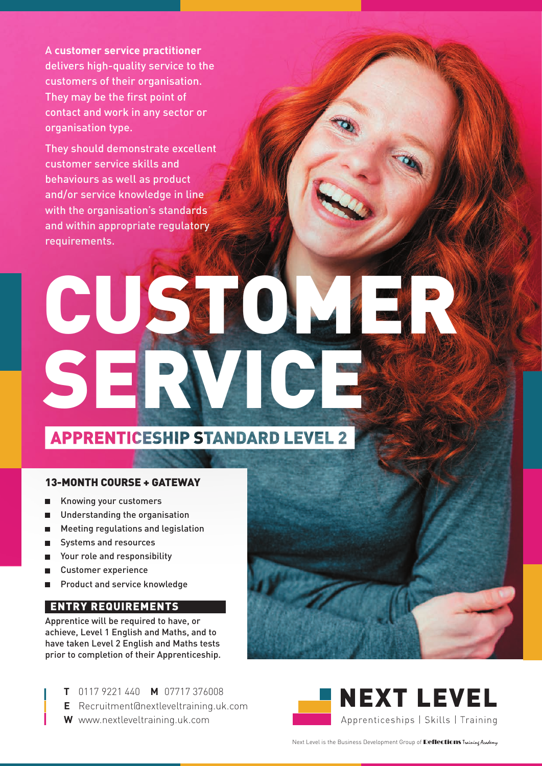A **customer service practitioner** delivers high-quality service to the customers of their organisation. They may be the first point of contact and work in any sector or organisation type.

They should demonstrate excellent customer service skills and behaviours as well as product and/or service knowledge in line with the organisation's standards and within appropriate regulatory requirements.

# CUSTOM SERVICE

### **APPRENTICESHIP STANDARD LEVEL 2**

#### 13-MONTH COURSE + GATEWAY

- Knowing your customers
- Understanding the organisation
- Meeting regulations and legislation п
- Systems and resources
- Your role and responsibility
- Customer experience
- Product and service knowledge

### ENTRY REQUIREMENTS

Apprentice will be required to have, or achieve, Level 1 English and Maths, and to have taken Level 2 English and Maths tests prior to completion of their Apprenticeship.

- **T** 0117 9221 440 **M** 07717 376008
- **E** [Recruitment@nextleveltraining.uk.com](mailto:Recruitment@nextleveltraining.uk.com)
- **W** [www.nextleveltraining.uk.com](http://www.nextleveltraining.uk.com)



Next Level is the Business Development Group of **Reflections** Training Academy